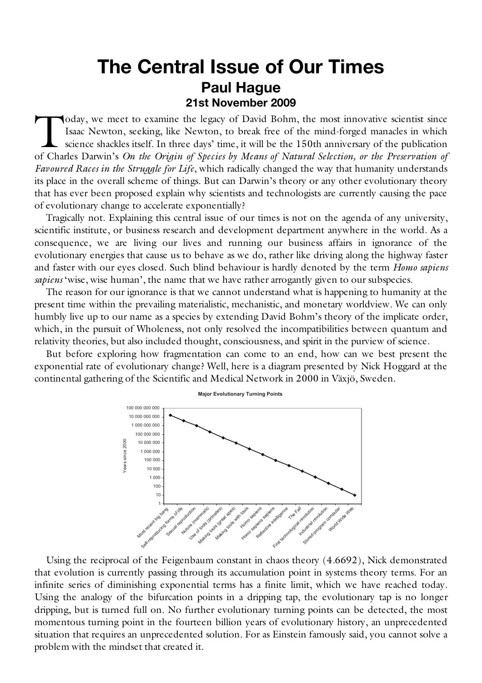## **The Central Issue of Our Times Paul Hague 21st November 2009**

oday, we meet to examine the legacy of David Bohm, the most innovative scientist since Isaac Newton, seeking, like Newton, to break free of the mind-forged manacles in which science shackles itself. In three days' time, it will be the 150th anniversary of the publication oday, we meet to examine the legacy of David Bohm, the most innovative scientist since Isaac Newton, seeking, like Newton, to break free of the mind-forged manacles in which science shackles itself. In three days' time, it *Favoured Races in the Struggle for Life*, which radically changed the way that humanity understands its place in the overall scheme of things. But can Darwin's theory or any other evolutionary theory that has ever been proposed explain why scientists and technologists are currently causing the pace of evolutionary change to accelerate exponentially?

Tragically not. Explaining this central issue of our times is not on the agenda of any university, scientific institute, or business research and development department anywhere in the world. As a consequence, we are living our lives and running our business affairs in ignorance of the evolutionary energies that cause us to behave as we do, rather like driving along the highway faster and faster with our eyes closed. Such blind behaviour is hardly denoted by the term *Homo sapiens sapiens* 'wise, wise human', the name that we have rather arrogantly given to our subspecies.

The reason for our ignorance is that we cannot understand what is happening to humanity at the present time within the prevailing materialistic, mechanistic, and monetary worldview. We can only humbly live up to our name as a species by extending David Bohm's theory of the implicate order, which, in the pursuit of Wholeness, not only resolved the incompatibilities between quantum and relativity theories, but also included thought, consciousness, and spirit in the purview of science.

But before exploring how fragmentation can come to an end, how can we best present the exponential rate of evolutionary change? Well, here is a diagram presented by Nick Hoggard at the continental gathering of the Scientific and Medical Network in 2000 in Växjö, Sweden.



Using the reciprocal of the Feigenbaum constant in chaos theory (4.6692), Nick demonstrated that evolution is currently passing through its accumulation point in systems theory terms. For an infinite series of diminishing exponential terms has a finite limit, which we have reached today. Using the analogy of the bifurcation points in a dripping tap, the evolutionary tap is no longer dripping, but is turned full on. No further evolutionary turning points can be detected, the most momentous turning point in the fourteen billion years of evolutionary history, an unprecedented situation that requires an unprecedented solution. For as Einstein famously said, you cannot solve a problem with the mindset that created it.